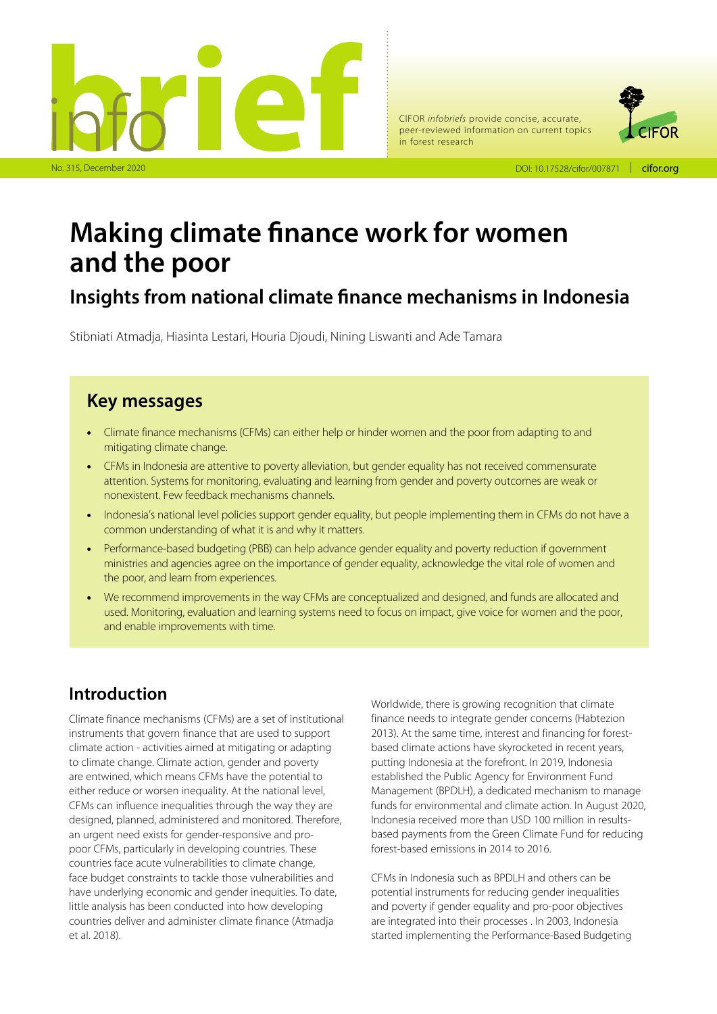



# **Making climate finance work for women and the poor**

### **Insights from national climate finance mechanisms in Indonesia**

Stibniati Atmadja, Hiasinta Lestari, Houria Djoudi, Nining Liswanti and Ade Tamara

### **Key messages**

- Climate finance mechanisms (CFMs) can either help or hinder women and the poor from adapting to and mitigating climate change.
- CFMs in Indonesia are attentive to poverty alleviation, but gender equality has not received commensurate attention. Systems for monitoring, evaluating and learning from gender and poverty outcomes are weak or nonexistent. Few feedback mechanisms channels.
- Indonesia's national level policies support gender equality, but people implementing them in CFMs do not have a common understanding of what it is and why it matters.
- Performance-based budgeting (PBB) can help advance gender equality and poverty reduction if government ministries and agencies agree on the importance of gender equality, acknowledge the vital role of women and the poor, and learn from experiences.
- We recommend improvements in the way CFMs are conceptualized and designed, and funds are allocated and used. Monitoring, evaluation and learning systems need to focus on impact, give voice for women and the poor, and enable improvements with time.

### **Introduction**

Climate finance mechanisms (CFMs) are a set of institutional instruments that govern finance that are used to support climate action - activities aimed at mitigating or adapting to climate change. Climate action, gender and poverty are entwined, which means CFMs have the potential to either reduce or worsen inequality. At the national level, CFMs can influence inequalities through the way they are designed, planned, administered and monitored. Therefore, an urgent need exists for gender-responsive and propoor CFMs, particularly in developing countries. These countries face acute vulnerabilities to climate change, face budget constraints to tackle those vulnerabilities and have underlying economic and gender inequities. To date, little analysis has been conducted into how developing countries deliver and administer climate finance (Atmadja et al. 2018).

Worldwide, there is growing recognition that climate finance needs to integrate gender concerns (Habtezion 2013). At the same time, interest and financing for forestbased climate actions have skyrocketed in recent years, putting Indonesia at the forefront. In 2019, Indonesia established the Public Agency for Environment Fund Management (BPDLH), a dedicated mechanism to manage funds for environmental and climate action. In August 2020, Indonesia received more than USD 100 million in resultsbased payments from the Green Climate Fund for reducing forest-based emissions in 2014 to 2016.

CFMs in Indonesia such as BPDLH and others can be potential instruments for reducing gender inequalities and poverty if gender equality and pro-poor objectives are integrated into their processes . In 2003, Indonesia started implementing the Performance-Based Budgeting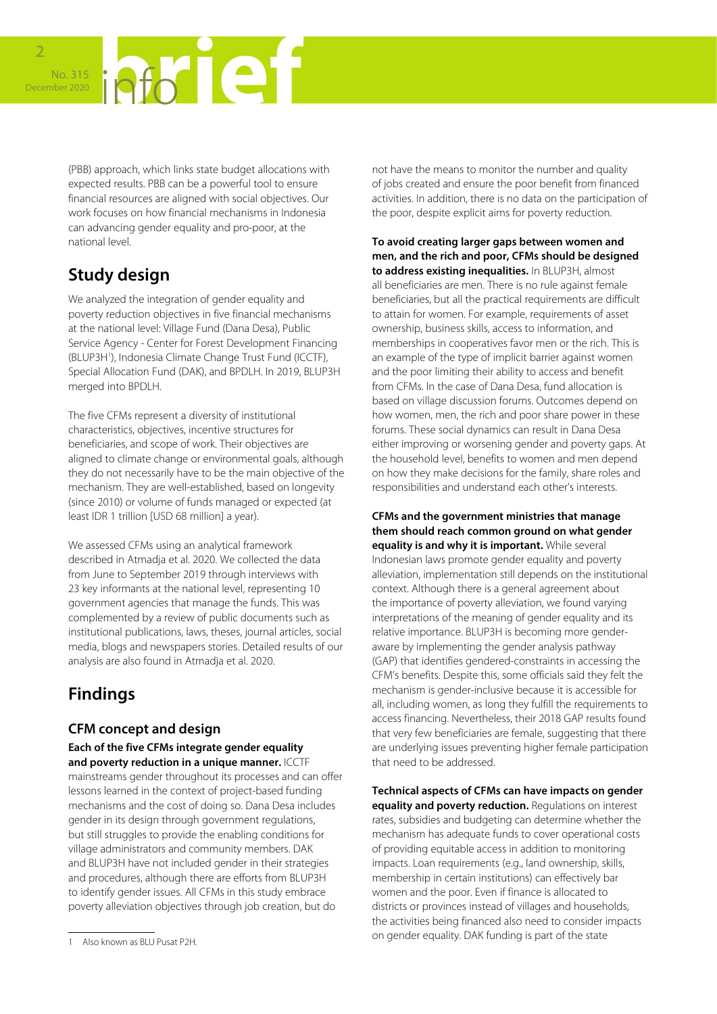

(PBB) approach, which links state budget allocations with expected results. PBB can be a powerful tool to ensure financial resources are aligned with social objectives. Our work focuses on how financial mechanisms in Indonesia can advancing gender equality and pro-poor, at the national level.

## **Study design**

We analyzed the integration of gender equality and poverty reduction objectives in five financial mechanisms at the national level: Village Fund (Dana Desa), Public Service Agency - Center for Forest Development Financing (BLUP3H1 ), Indonesia Climate Change Trust Fund (ICCTF), Special Allocation Fund (DAK), and BPDLH. In 2019, BLUP3H merged into BPDLH.

The five CFMs represent a diversity of institutional characteristics, objectives, incentive structures for beneficiaries, and scope of work. Their objectives are aligned to climate change or environmental goals, although they do not necessarily have to be the main objective of the mechanism. They are well-established, based on longevity (since 2010) or volume of funds managed or expected (at least IDR 1 trillion [USD 68 million] a year).

We assessed CFMs using an analytical framework described in Atmadja et al. 2020. We collected the data from June to September 2019 through interviews with 23 key informants at the national level, representing 10 government agencies that manage the funds. This was complemented by a review of public documents such as institutional publications, laws, theses, journal articles, social media, blogs and newspapers stories. Detailed results of our analysis are also found in Atmadja et al. 2020.

### **Findings**

### **CFM concept and design**

**Each of the five CFMs integrate gender equality and poverty reduction in a unique manner.** ICCTF mainstreams gender throughout its processes and can offer lessons learned in the context of project-based funding mechanisms and the cost of doing so. Dana Desa includes gender in its design through government regulations, but still struggles to provide the enabling conditions for village administrators and community members. DAK and BLUP3H have not included gender in their strategies and procedures, although there are efforts from BLUP3H to identify gender issues. All CFMs in this study embrace poverty alleviation objectives through job creation, but do

not have the means to monitor the number and quality of jobs created and ensure the poor benefit from financed activities. In addition, there is no data on the participation of the poor, despite explicit aims for poverty reduction.

**To avoid creating larger gaps between women and men, and the rich and poor, CFMs should be designed to address existing inequalities.** In BLUP3H, almost all beneficiaries are men. There is no rule against female beneficiaries, but all the practical requirements are difficult to attain for women. For example, requirements of asset ownership, business skills, access to information, and memberships in cooperatives favor men or the rich. This is an example of the type of implicit barrier against women and the poor limiting their ability to access and benefit from CFMs. In the case of Dana Desa, fund allocation is based on village discussion forums. Outcomes depend on how women, men, the rich and poor share power in these forums. These social dynamics can result in Dana Desa either improving or worsening gender and poverty gaps. At the household level, benefits to women and men depend on how they make decisions for the family, share roles and responsibilities and understand each other's interests.

### **CFMs and the government ministries that manage them should reach common ground on what gender**

**equality is and why it is important.** While several Indonesian laws promote gender equality and poverty alleviation, implementation still depends on the institutional context. Although there is a general agreement about the importance of poverty alleviation, we found varying interpretations of the meaning of gender equality and its relative importance. BLUP3H is becoming more genderaware by implementing the gender analysis pathway (GAP) that identifies gendered-constraints in accessing the CFM's benefits. Despite this, some officials said they felt the mechanism is gender-inclusive because it is accessible for all, including women, as long they fulfill the requirements to access financing. Nevertheless, their 2018 GAP results found that very few beneficiaries are female, suggesting that there are underlying issues preventing higher female participation that need to be addressed.

**Technical aspects of CFMs can have impacts on gender equality and poverty reduction.** Regulations on interest rates, subsidies and budgeting can determine whether the mechanism has adequate funds to cover operational costs of providing equitable access in addition to monitoring impacts. Loan requirements (e.g., land ownership, skills, membership in certain institutions) can effectively bar women and the poor. Even if finance is allocated to districts or provinces instead of villages and households, the activities being financed also need to consider impacts on gender equality. DAK funding is part of the state

<sup>1</sup> Also known as BLU Pusat P2H.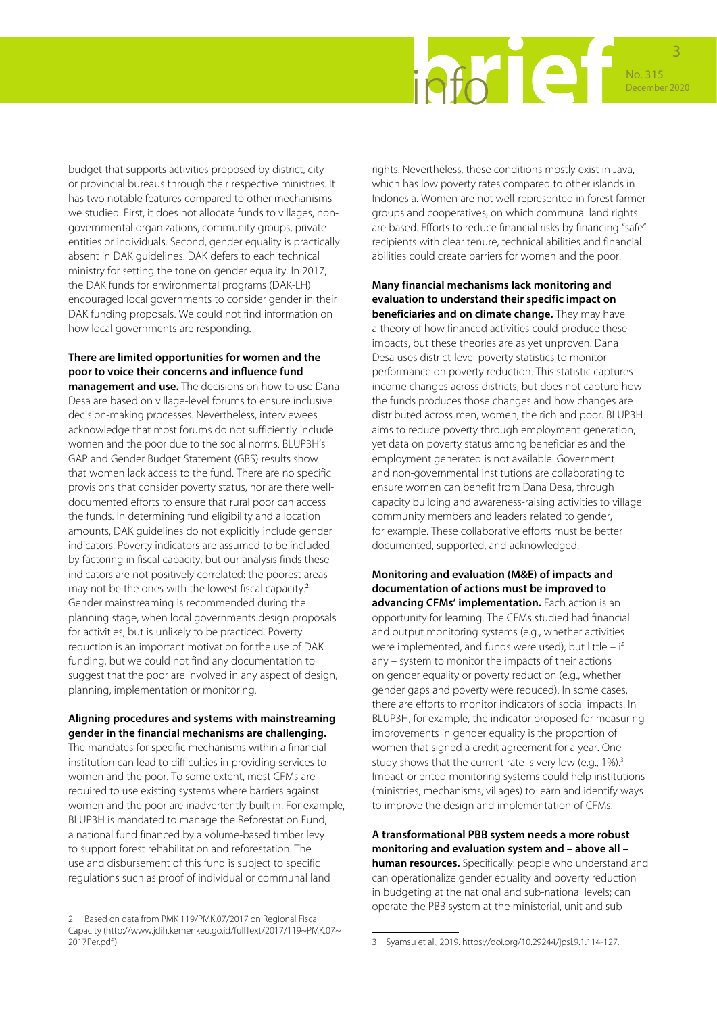

budget that supports activities proposed by district, city or provincial bureaus through their respective ministries. It has two notable features compared to other mechanisms we studied. First, it does not allocate funds to villages, nongovernmental organizations, community groups, private entities or individuals. Second, gender equality is practically absent in DAK guidelines. DAK defers to each technical ministry for setting the tone on gender equality. In 2017, the DAK funds for environmental programs (DAK-LH) encouraged local governments to consider gender in their DAK funding proposals. We could not find information on how local governments are responding.

#### **There are limited opportunities for women and the poor to voice their concerns and influence fund**

**management and use.** The decisions on how to use Dana Desa are based on village-level forums to ensure inclusive decision-making processes. Nevertheless, interviewees acknowledge that most forums do not sufficiently include women and the poor due to the social norms. BLUP3H's GAP and Gender Budget Statement (GBS) results show that women lack access to the fund. There are no specific provisions that consider poverty status, nor are there welldocumented efforts to ensure that rural poor can access the funds. In determining fund eligibility and allocation amounts, DAK guidelines do not explicitly include gender indicators. Poverty indicators are assumed to be included by factoring in fiscal capacity, but our analysis finds these indicators are not positively correlated: the poorest areas may not be the ones with the lowest fiscal capacity.<sup>2</sup> Gender mainstreaming is recommended during the planning stage, when local governments design proposals for activities, but is unlikely to be practiced. Poverty reduction is an important motivation for the use of DAK funding, but we could not find any documentation to suggest that the poor are involved in any aspect of design, planning, implementation or monitoring.

#### **Aligning procedures and systems with mainstreaming gender in the financial mechanisms are challenging.**

The mandates for specific mechanisms within a financial institution can lead to difficulties in providing services to women and the poor. To some extent, most CFMs are required to use existing systems where barriers against women and the poor are inadvertently built in. For example, BLUP3H is mandated to manage the Reforestation Fund, a national fund financed by a volume-based timber levy to support forest rehabilitation and reforestation. The use and disbursement of this fund is subject to specific regulations such as proof of individual or communal land

rights. Nevertheless, these conditions mostly exist in Java, which has low poverty rates compared to other islands in Indonesia. Women are not well-represented in forest farmer groups and cooperatives, on which communal land rights are based. Efforts to reduce financial risks by financing "safe" recipients with clear tenure, technical abilities and financial abilities could create barriers for women and the poor.

#### **Many financial mechanisms lack monitoring and evaluation to understand their specific impact on beneficiaries and on climate change.** They may have

a theory of how financed activities could produce these impacts, but these theories are as yet unproven. Dana Desa uses district-level poverty statistics to monitor performance on poverty reduction. This statistic captures income changes across districts, but does not capture how the funds produces those changes and how changes are distributed across men, women, the rich and poor. BLUP3H aims to reduce poverty through employment generation, yet data on poverty status among beneficiaries and the employment generated is not available. Government and non-governmental institutions are collaborating to ensure women can benefit from Dana Desa, through capacity building and awareness-raising activities to village community members and leaders related to gender, for example. These collaborative efforts must be better documented, supported, and acknowledged.

**Monitoring and evaluation (M&E) of impacts and documentation of actions must be improved to advancing CFMs' implementation.** Each action is an opportunity for learning. The CFMs studied had financial and output monitoring systems (e.g., whether activities were implemented, and funds were used), but little – if any – system to monitor the impacts of their actions on gender equality or poverty reduction (e.g., whether gender gaps and poverty were reduced). In some cases, there are efforts to monitor indicators of social impacts. In BLUP3H, for example, the indicator proposed for measuring improvements in gender equality is the proportion of women that signed a credit agreement for a year. One study shows that the current rate is very low (e.g.,  $1\%$ ).<sup>3</sup> Impact-oriented monitoring systems could help institutions (ministries, mechanisms, villages) to learn and identify ways to improve the design and implementation of CFMs.

**A transformational PBB system needs a more robust monitoring and evaluation system and – above all – human resources.** Specifically: people who understand and can operationalize gender equality and poverty reduction in budgeting at the national and sub-national levels; can operate the PBB system at the ministerial, unit and sub-

<sup>2</sup> Based on data from PMK 119/PMK.07/2017 on Regional Fiscal Capacity [\(http://www.jdih.kemenkeu.go.id/fullText/2017/119~PMK.07~](http://www.jdih.kemenkeu.go.id/fullText/2017/119~PMK.07~2017Per.pdf) [2017Per.pdf](http://www.jdih.kemenkeu.go.id/fullText/2017/119~PMK.07~2017Per.pdf) )

<sup>3</sup> Syamsu et al., 2019. https://doi.org/10.29244/jpsl.9.1.114-127.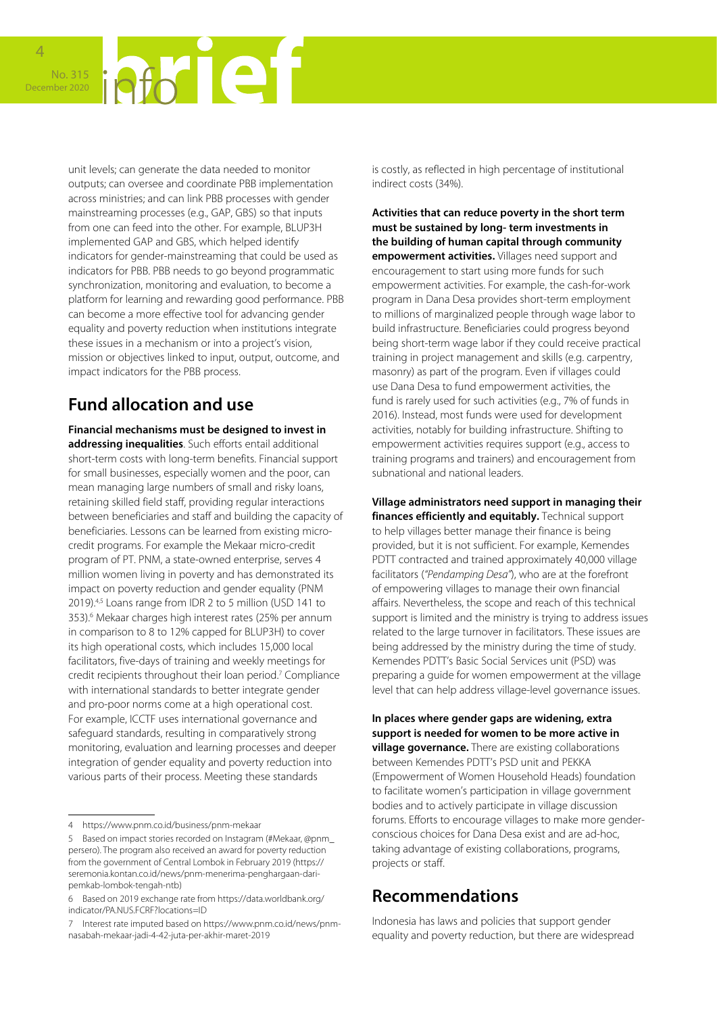unit levels; can generate the data needed to monitor outputs; can oversee and coordinate PBB implementation across ministries; and can link PBB processes with gender mainstreaming processes (e.g., GAP, GBS) so that inputs from one can feed into the other. For example, BLUP3H implemented GAP and GBS, which helped identify indicators for gender-mainstreaming that could be used as indicators for PBB. PBB needs to go beyond programmatic synchronization, monitoring and evaluation, to become a platform for learning and rewarding good performance. PBB can become a more effective tool for advancing gender equality and poverty reduction when institutions integrate these issues in a mechanism or into a project's vision, mission or objectives linked to input, output, outcome, and impact indicators for the PBB process.

### **Fund allocation and use**

**Financial mechanisms must be designed to invest in addressing inequalities**. Such efforts entail additional short-term costs with long-term benefits. Financial support for small businesses, especially women and the poor, can mean managing large numbers of small and risky loans, retaining skilled field staff, providing regular interactions between beneficiaries and staff and building the capacity of beneficiaries. Lessons can be learned from existing microcredit programs. For example the Mekaar micro-credit program of PT. PNM, a state-owned enterprise, serves 4 million women living in poverty and has demonstrated its impact on poverty reduction and gender equality (PNM 2019).4,5 Loans range from IDR 2 to 5 million (USD 141 to 353).<sup>6</sup> Mekaar charges high interest rates (25% per annum in comparison to 8 to 12% capped for BLUP3H) to cover its high operational costs, which includes 15,000 local facilitators, five-days of training and weekly meetings for credit recipients throughout their loan period.<sup>7</sup> Compliance with international standards to better integrate gender and pro-poor norms come at a high operational cost. For example, ICCTF uses international governance and safeguard standards, resulting in comparatively strong monitoring, evaluation and learning processes and deeper integration of gender equality and poverty reduction into various parts of their process. Meeting these standards

is costly, as reflected in high percentage of institutional indirect costs (34%).

**Activities that can reduce poverty in the short term must be sustained by long- term investments in the building of human capital through community empowerment activities.** Villages need support and encouragement to start using more funds for such empowerment activities. For example, the cash-for-work program in Dana Desa provides short-term employment to millions of marginalized people through wage labor to build infrastructure. Beneficiaries could progress beyond being short-term wage labor if they could receive practical training in project management and skills (e.g. carpentry, masonry) as part of the program. Even if villages could use Dana Desa to fund empowerment activities, the fund is rarely used for such activities (e.g., 7% of funds in 2016). Instead, most funds were used for development activities, notably for building infrastructure. Shifting to empowerment activities requires support (e.g., access to training programs and trainers) and encouragement from subnational and national leaders.

**Village administrators need support in managing their finances efficiently and equitably.** Technical support to help villages better manage their finance is being provided, but it is not sufficient. For example, Kemendes PDTT contracted and trained approximately 40,000 village facilitators (*"Pendamping Desa"*), who are at the forefront of empowering villages to manage their own financial affairs. Nevertheless, the scope and reach of this technical support is limited and the ministry is trying to address issues related to the large turnover in facilitators. These issues are being addressed by the ministry during the time of study. Kemendes PDTT's Basic Social Services unit (PSD) was preparing a guide for women empowerment at the village level that can help address village-level governance issues.

**In places where gender gaps are widening, extra support is needed for women to be more active in village governance.** There are existing collaborations between Kemendes PDTT's PSD unit and PEKKA (Empowerment of Women Household Heads) foundation to facilitate women's participation in village government bodies and to actively participate in village discussion forums. Efforts to encourage villages to make more genderconscious choices for Dana Desa exist and are ad-hoc, taking advantage of existing collaborations, programs, projects or staff.

### **Recommendations**

Indonesia has laws and policies that support gender equality and poverty reduction, but there are widespread

<sup>4</sup> https://www.pnm.co.id/business/pnm-mekaar

<sup>5</sup> Based on impact stories recorded on Instagram (#Mekaar, @pnm\_ persero). The program also received an award for poverty reduction from the government of Central Lombok in February 2019 (https:// seremonia.kontan.co.id/news/pnm-menerima-penghargaan-daripemkab-lombok-tengah-ntb)

<sup>6</sup> Based on 2019 exchange rate from [https://data.worldbank.org/](https://data.worldbank.org/indicator/PA.NUS.FCRF?locations=ID) [indicator/PA.NUS.FCRF?locations=ID](https://data.worldbank.org/indicator/PA.NUS.FCRF?locations=ID)

<sup>7</sup> Interest rate imputed based on https://www.pnm.co.id/news/pnmnasabah-mekaar-jadi-4-42-juta-per-akhir-maret-2019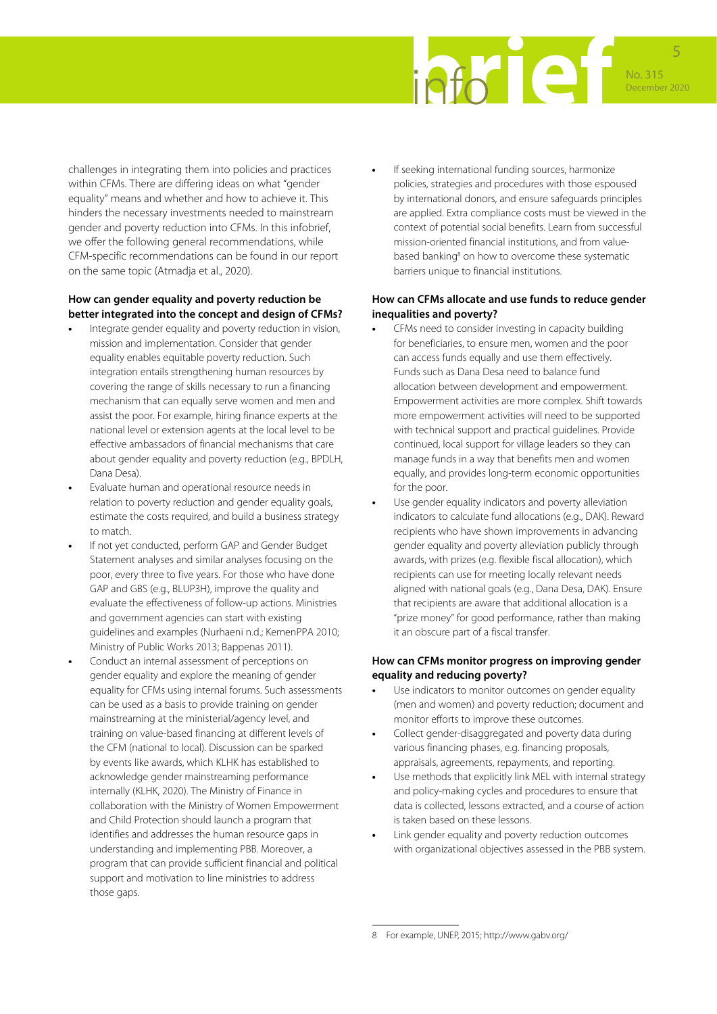

challenges in integrating them into policies and practices within CFMs. There are differing ideas on what "gender equality" means and whether and how to achieve it. This hinders the necessary investments needed to mainstream gender and poverty reduction into CFMs. In this infobrief, we offer the following general recommendations, while CFM-specific recommendations can be found in our report on the same topic (Atmadja et al., 2020).

#### **How can gender equality and poverty reduction be better integrated into the concept and design of CFMs?**

- **•** Integrate gender equality and poverty reduction in vision, mission and implementation. Consider that gender equality enables equitable poverty reduction. Such integration entails strengthening human resources by covering the range of skills necessary to run a financing mechanism that can equally serve women and men and assist the poor. For example, hiring finance experts at the national level or extension agents at the local level to be effective ambassadors of financial mechanisms that care about gender equality and poverty reduction (e.g., BPDLH, Dana Desa).
- **•** Evaluate human and operational resource needs in relation to poverty reduction and gender equality goals, estimate the costs required, and build a business strategy to match.
- **•** If not yet conducted, perform GAP and Gender Budget Statement analyses and similar analyses focusing on the poor, every three to five years. For those who have done GAP and GBS (e.g., BLUP3H), improve the quality and evaluate the effectiveness of follow-up actions. Ministries and government agencies can start with existing guidelines and examples ([Nurhaeni n.d.;](https://www.kemenpppa.go.id/lib/uploads/list/4fbbd-pedoman-teknis-penyusunan-gender-analisis-pathway-gap-dan-gender-budget-statement-gbs.pdf) KemenPPA 2010; Ministry of Public Works 2013; Bappenas 2011).
- **•** Conduct an internal assessment of perceptions on gender equality and explore the meaning of gender equality for CFMs using internal forums. Such assessments can be used as a basis to provide training on gender mainstreaming at the ministerial/agency level, and training on value-based financing at different levels of the CFM (national to local). Discussion can be sparked by events like awards, which KLHK has established to acknowledge gender mainstreaming performance internally (KLHK, 2020). The Ministry of Finance in collaboration with the Ministry of Women Empowerment and Child Protection should launch a program that identifies and addresses the human resource gaps in understanding and implementing PBB. Moreover, a program that can provide sufficient financial and political support and motivation to line ministries to address those gaps.

**•** If seeking international funding sources, harmonize policies, strategies and procedures with those espoused by international donors, and ensure safeguards principles are applied. Extra compliance costs must be viewed in the context of potential social benefits. Learn from successful mission-oriented financial institutions, and from valuebased banking<sup>8</sup> on how to overcome these systematic barriers unique to financial institutions.

#### **How can CFMs allocate and use funds to reduce gender inequalities and poverty?**

- **•** CFMs need to consider investing in capacity building for beneficiaries, to ensure men, women and the poor can access funds equally and use them effectively. Funds such as Dana Desa need to balance fund allocation between development and empowerment. Empowerment activities are more complex. Shift towards more empowerment activities will need to be supported with technical support and practical guidelines. Provide continued, local support for village leaders so they can manage funds in a way that benefits men and women equally, and provides long-term economic opportunities for the poor.
- **•** Use gender equality indicators and poverty alleviation indicators to calculate fund allocations (e.g., DAK). Reward recipients who have shown improvements in advancing gender equality and poverty alleviation publicly through awards, with prizes (e.g. flexible fiscal allocation), which recipients can use for meeting locally relevant needs aligned with national goals (e.g., Dana Desa, DAK). Ensure that recipients are aware that additional allocation is a "prize money" for good performance, rather than making it an obscure part of a fiscal transfer.

#### **How can CFMs monitor progress on improving gender equality and reducing poverty?**

- **•** Use indicators to monitor outcomes on gender equality (men and women) and poverty reduction; document and monitor efforts to improve these outcomes.
- **•** Collect gender-disaggregated and poverty data during various financing phases, e.g. financing proposals, appraisals, agreements, repayments, and reporting.
- **•** Use methods that explicitly link MEL with internal strategy and policy-making cycles and procedures to ensure that data is collected, lessons extracted, and a course of action is taken based on these lessons.
- **•** Link gender equality and poverty reduction outcomes with organizational objectives assessed in the PBB system.

<sup>8</sup> For example, UNEP, 2015; http://www.gabv.org/